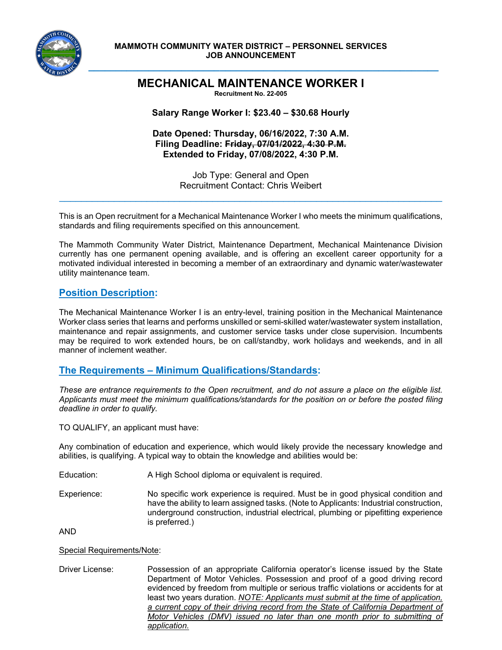

#### **MAMMOTH COMMUNITY WATER DISTRICT – PERSONNEL SERVICES JOB ANNOUNCEMENT**

# **MECHANICAL MAINTENANCE WORKER I**

**\_\_\_\_\_\_\_\_\_\_\_\_\_\_\_\_\_\_\_\_\_\_\_\_\_\_\_\_\_\_\_\_\_\_\_\_\_\_\_\_\_\_\_\_\_\_\_\_\_\_\_\_\_\_\_\_\_\_\_\_\_\_\_\_**

**Recruitment No. 22-005** 

**Salary Range Worker I: \$23.40 – \$30.68 Hourly** 

**Date Opened: Thursday, 06/16/2022, 7:30 A.M. Filing Deadline: Friday, 07/01/2022, 4:30 P.M. Extended to Friday, 07/08/2022, 4:30 P.M.** 

> Job Type: General and Open Recruitment Contact: Chris Weibert

 $\mathcal{L}_\mathcal{L} = \mathcal{L}_\mathcal{L} = \mathcal{L}_\mathcal{L} = \mathcal{L}_\mathcal{L} = \mathcal{L}_\mathcal{L} = \mathcal{L}_\mathcal{L} = \mathcal{L}_\mathcal{L} = \mathcal{L}_\mathcal{L} = \mathcal{L}_\mathcal{L} = \mathcal{L}_\mathcal{L} = \mathcal{L}_\mathcal{L} = \mathcal{L}_\mathcal{L} = \mathcal{L}_\mathcal{L} = \mathcal{L}_\mathcal{L} = \mathcal{L}_\mathcal{L} = \mathcal{L}_\mathcal{L} = \mathcal{L}_\mathcal{L}$ 

This is an Open recruitment for a Mechanical Maintenance Worker I who meets the minimum qualifications, standards and filing requirements specified on this announcement.

The Mammoth Community Water District, Maintenance Department, Mechanical Maintenance Division currently has one permanent opening available, and is offering an excellent career opportunity for a motivated individual interested in becoming a member of an extraordinary and dynamic water/wastewater utility maintenance team.

### **Position Description:**

The Mechanical Maintenance Worker I is an entry-level, training position in the Mechanical Maintenance Worker class series that learns and performs unskilled or semi-skilled water/wastewater system installation, maintenance and repair assignments, and customer service tasks under close supervision. Incumbents may be required to work extended hours, be on call/standby, work holidays and weekends, and in all manner of inclement weather.

### **The Requirements – Minimum Qualifications/Standards:**

*These are entrance requirements to the Open recruitment, and do not assure a place on the eligible list. Applicants must meet the minimum qualifications/standards for the position on or before the posted filing deadline in order to qualify.*

TO QUALIFY, an applicant must have:

Any combination of education and experience, which would likely provide the necessary knowledge and abilities, is qualifying. A typical way to obtain the knowledge and abilities would be:

- Education: A High School diploma or equivalent is required.
- Experience: No specific work experience is required. Must be in good physical condition and have the ability to learn assigned tasks. (Note to Applicants: Industrial construction, underground construction, industrial electrical, plumbing or pipefitting experience is preferred.)

AND

#### Special Requirements/Note:

Driver License: Possession of an appropriate California operator's license issued by the State Department of Motor Vehicles. Possession and proof of a good driving record evidenced by freedom from multiple or serious traffic violations or accidents for at least two years duration. *NOTE: Applicants must submit at the time of application, a current copy of their driving record from the State of California Department of Motor Vehicles (DMV) issued no later than one month prior to submitting of application.*